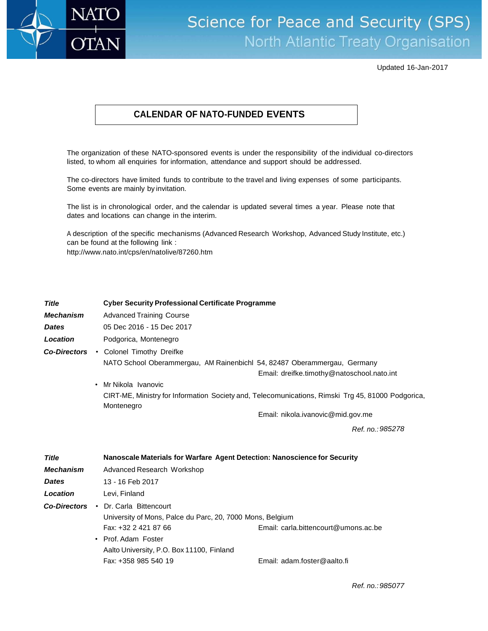

## Science for Peace and Security (SPS) North Atlantic Treaty Organisation

Updated 16-Jan-2017

## **CALENDAR OF NATO-FUNDED EVENTS**

The organization of these NATO-sponsored events is under the responsibility of the individual co-directors listed, to whom all enquiries for information, attendance and support should be addressed.

The co-directors have limited funds to contribute to the travel and living expenses of some participants. Some events are mainly by invitation.

The list is in chronological order, and the calendar is updated several times a year. Please note that dates and locations can change in the interim.

A description of the specific mechanisms (Advanced Research Workshop, Advanced Study Institute, etc.) can be found at the following link : <http://www.nato.int/cps/en/natolive/87260.htm>

| <b>Title</b>        |           | <b>Cyber Security Professional Certificate Programme</b>                  |                                                                                                   |  |
|---------------------|-----------|---------------------------------------------------------------------------|---------------------------------------------------------------------------------------------------|--|
| <b>Mechanism</b>    |           | <b>Advanced Training Course</b>                                           |                                                                                                   |  |
| <b>Dates</b>        |           | 05 Dec 2016 - 15 Dec 2017                                                 |                                                                                                   |  |
| Location            |           | Podgorica, Montenegro                                                     |                                                                                                   |  |
| <b>Co-Directors</b> |           | • Colonel Timothy Dreifke                                                 |                                                                                                   |  |
|                     |           | NATO School Oberammergau, AM Rainenbichl 54, 82487 Oberammergau, Germany  |                                                                                                   |  |
|                     |           |                                                                           | Email: dreifke.timothy@natoschool.nato.int                                                        |  |
|                     | $\bullet$ | Mr Nikola Ivanovic                                                        |                                                                                                   |  |
|                     |           | Montenegro                                                                | CIRT-ME, Ministry for Information Society and, Telecomunications, Rimski Trg 45, 81000 Podgorica, |  |
|                     |           |                                                                           | Email: nikola.ivanovic@mid.gov.me                                                                 |  |
|                     |           |                                                                           | Ref. no.: 985278                                                                                  |  |
|                     |           |                                                                           |                                                                                                   |  |
| <b>Title</b>        |           | Nanoscale Materials for Warfare Agent Detection: Nanoscience for Security |                                                                                                   |  |
| <b>Mechanism</b>    |           | Advanced Research Workshop                                                |                                                                                                   |  |
| <b>Dates</b>        |           | 13 - 16 Feb 2017                                                          |                                                                                                   |  |
| Location            |           | Levi, Finland                                                             |                                                                                                   |  |
| <b>Co-Directors</b> |           | • Dr. Carla Bittencourt                                                   |                                                                                                   |  |
|                     |           | University of Mons, Palce du Parc, 20, 7000 Mons, Belgium                 |                                                                                                   |  |
|                     |           | Fax: +32 2 421 87 66                                                      | Email: carla.bittencourt@umons.ac.be                                                              |  |
|                     |           | • Prof. Adam Foster                                                       |                                                                                                   |  |
|                     |           | Aalto University, P.O. Box 11100, Finland                                 |                                                                                                   |  |
|                     |           | Fax: +358 985 540 19                                                      | Email: adam.foster@aalto.fi                                                                       |  |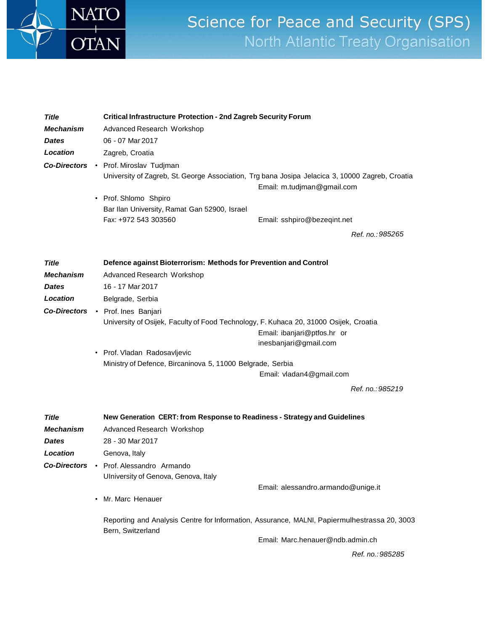

## Science for Peace and Security (SPS) North Atlantic Treaty Organisation

| Title<br><b>Mechanism</b><br><b>Dates</b><br>Location | Critical Infrastructure Protection - 2nd Zagreb Security Forum<br>Advanced Research Workshop<br>06 - 07 Mar 2017<br>Zagreb, Croatia<br>Co-Directors • Prof. Miroslav Tudjman<br>• Prof. Shlomo Shpiro<br>Bar Ilan University, Ramat Gan 52900, Israel<br>Fax: +972 543 303560 | University of Zagreb, St. George Association, Trg bana Josipa Jelacica 3, 10000 Zagreb, Croatia<br>Email: m.tudjman@gmail.com<br>Email: sshpiro@bezeqint.net<br>Ref. no.: 985265 |  |
|-------------------------------------------------------|-------------------------------------------------------------------------------------------------------------------------------------------------------------------------------------------------------------------------------------------------------------------------------|----------------------------------------------------------------------------------------------------------------------------------------------------------------------------------|--|
| Title                                                 | Defence against Bioterrorism: Methods for Prevention and Control                                                                                                                                                                                                              |                                                                                                                                                                                  |  |
| <b>Mechanism</b>                                      | Advanced Research Workshop                                                                                                                                                                                                                                                    |                                                                                                                                                                                  |  |
| <b>Dates</b>                                          | 16 - 17 Mar 2017                                                                                                                                                                                                                                                              |                                                                                                                                                                                  |  |
| Location                                              | Belgrade, Serbia                                                                                                                                                                                                                                                              |                                                                                                                                                                                  |  |
|                                                       | Co-Directors . Prof. Ines Banjari                                                                                                                                                                                                                                             |                                                                                                                                                                                  |  |
|                                                       | University of Osijek, Faculty of Food Technology, F. Kuhaca 20, 31000 Osijek, Croatia                                                                                                                                                                                         |                                                                                                                                                                                  |  |
|                                                       |                                                                                                                                                                                                                                                                               | Email: ibanjari@ptfos.hr or                                                                                                                                                      |  |
|                                                       | • Prof. Vladan Radosavljevic                                                                                                                                                                                                                                                  | inesbanjari@gmail.com                                                                                                                                                            |  |
|                                                       | Ministry of Defence, Bircaninova 5, 11000 Belgrade, Serbia                                                                                                                                                                                                                    |                                                                                                                                                                                  |  |
|                                                       |                                                                                                                                                                                                                                                                               | Email: vladan4@gmail.com                                                                                                                                                         |  |
|                                                       |                                                                                                                                                                                                                                                                               | Ref. no.: 985219                                                                                                                                                                 |  |
| <b>Title</b>                                          | New Generation CERT: from Response to Readiness - Strategy and Guidelines                                                                                                                                                                                                     |                                                                                                                                                                                  |  |
| <b>Mechanism</b>                                      | Advanced Research Workshop                                                                                                                                                                                                                                                    |                                                                                                                                                                                  |  |
| <b>Dates</b>                                          | 28 - 30 Mar 2017                                                                                                                                                                                                                                                              |                                                                                                                                                                                  |  |
| Location                                              | Genova, Italy                                                                                                                                                                                                                                                                 |                                                                                                                                                                                  |  |
|                                                       | Co-Directors • Prof. Alessandro Armando                                                                                                                                                                                                                                       |                                                                                                                                                                                  |  |
|                                                       | Ulniversity of Genova, Genova, Italy                                                                                                                                                                                                                                          |                                                                                                                                                                                  |  |
|                                                       | • Mr. Marc Henauer                                                                                                                                                                                                                                                            | Email: alessandro.armando@unige.it                                                                                                                                               |  |
|                                                       | Bern, Switzerland                                                                                                                                                                                                                                                             | Reporting and Analysis Centre for Information, Assurance, MALNI, Papiermulhestrassa 20, 3003                                                                                     |  |
|                                                       |                                                                                                                                                                                                                                                                               | Email: Marc.henauer@ndb.admin.ch                                                                                                                                                 |  |

*Ref. no.:985285*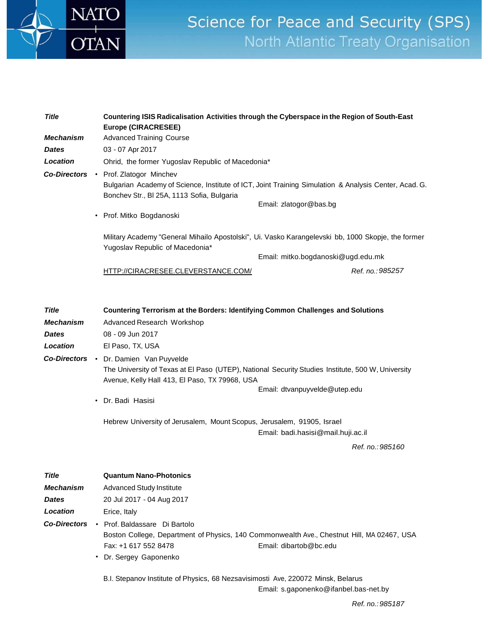

## Science for Peace and Security (SPS) North Atlantic Treaty Organisation

| <b>Title</b><br><b>Mechanism</b><br><b>Dates</b>             |  | Countering ISIS Radicalisation Activities through the Cyberspace in the Region of South-East<br><b>Europe (CIRACRESEE)</b><br><b>Advanced Training Course</b><br>03 - 07 Apr 2017                                                                                                                                                                                                                                                                             |                                                                                                                                          |  |
|--------------------------------------------------------------|--|---------------------------------------------------------------------------------------------------------------------------------------------------------------------------------------------------------------------------------------------------------------------------------------------------------------------------------------------------------------------------------------------------------------------------------------------------------------|------------------------------------------------------------------------------------------------------------------------------------------|--|
| Location                                                     |  | Ohrid, the former Yugoslav Republic of Macedonia*                                                                                                                                                                                                                                                                                                                                                                                                             |                                                                                                                                          |  |
|                                                              |  | Co-Directors • Prof. Zlatogor Minchev<br>Bonchev Str., BI 25A, 1113 Sofia, Bulgaria<br>• Prof. Mitko Bogdanoski                                                                                                                                                                                                                                                                                                                                               | Bulgarian Academy of Science, Institute of ICT, Joint Training Simulation & Analysis Center, Acad. G.<br>Email: zlatogor@bas.bg          |  |
|                                                              |  | Yugoslav Republic of Macedonia*                                                                                                                                                                                                                                                                                                                                                                                                                               | Military Academy "General Mihailo Apostolski", Ui. Vasko Karangelevski bb, 1000 Skopje, the former<br>Email: mitko.bogdanoski@ugd.edu.mk |  |
|                                                              |  | HTTP://CIRACRESEE.CLEVERSTANCE.COM/                                                                                                                                                                                                                                                                                                                                                                                                                           | Ref. no.: 985257                                                                                                                         |  |
| <b>Title</b><br><b>Mechanism</b><br><b>Dates</b><br>Location |  | <b>Countering Terrorism at the Borders: Identifying Common Challenges and Solutions</b><br>Advanced Research Workshop<br>08 - 09 Jun 2017<br>El Paso, TX, USA<br>Co-Directors . Dr. Damien Van Puyvelde<br>The University of Texas at El Paso (UTEP), National Security Studies Institute, 500 W, University<br>Avenue, Kelly Hall 413, El Paso, TX 79968, USA<br>• Dr. Badi Hasisi<br>Hebrew University of Jerusalem, Mount Scopus, Jerusalem, 91905, Israel | Email: dtvanpuyvelde@utep.edu<br>Email: badi.hasisi@mail.huji.ac.il                                                                      |  |
|                                                              |  |                                                                                                                                                                                                                                                                                                                                                                                                                                                               | Ref. no.: 985160                                                                                                                         |  |
|                                                              |  |                                                                                                                                                                                                                                                                                                                                                                                                                                                               |                                                                                                                                          |  |
| <b>Title</b>                                                 |  | <b>Quantum Nano-Photonics</b>                                                                                                                                                                                                                                                                                                                                                                                                                                 |                                                                                                                                          |  |
| <b>Mechanism</b>                                             |  | <b>Advanced Study Institute</b>                                                                                                                                                                                                                                                                                                                                                                                                                               |                                                                                                                                          |  |
| <b>Dates</b>                                                 |  | 20 Jul 2017 - 04 Aug 2017                                                                                                                                                                                                                                                                                                                                                                                                                                     |                                                                                                                                          |  |
| Location                                                     |  | Erice, Italy                                                                                                                                                                                                                                                                                                                                                                                                                                                  |                                                                                                                                          |  |
| <b>Co-Directors</b>                                          |  | • Prof. Baldassare Di Bartolo<br>Boston College, Department of Physics, 140 Commonwealth Ave., Chestnut Hill, MA 02467, USA                                                                                                                                                                                                                                                                                                                                   |                                                                                                                                          |  |

Email: [dibartob@bc.edu](mailto:dibartob@bc.edu)

Fax: +1 617 552 8478 • Dr. Sergey Gaponenko

B.I. Stepanov Institute of Physics, 68 Nezsavisimosti Ave, 220072 Minsk, Belarus

Email: [s.gaponenko@ifanbel.bas-net.by](mailto:s.gaponenko@ifanbel.bas-net.by)